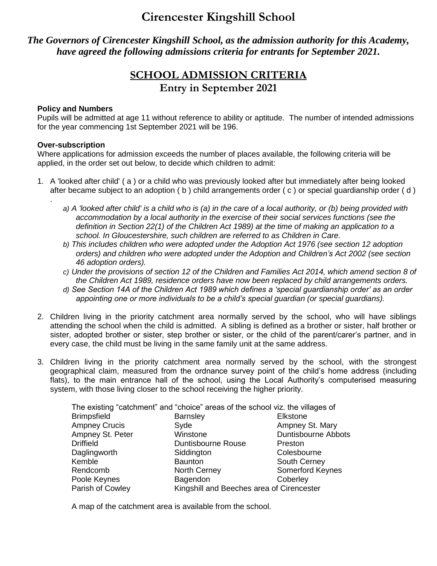## **Cirencester Kingshill School**

*The Governors of Cirencester Kingshill School, as the admission authority for this Academy, have agreed the following admissions criteria for entrants for September 2021.*

## **SCHOOL ADMISSION CRITERIA Entry in September 2021**

## **Policy and Numbers**

Pupils will be admitted at age 11 without reference to ability or aptitude. The number of intended admissions for the year commencing 1st September 2021 will be 196.

## **Over-subscription**

.

Where applications for admission exceeds the number of places available, the following criteria will be applied, in the order set out below, to decide which children to admit:

- 1. A 'looked after child' ( a ) or a child who was previously looked after but immediately after being looked after became subject to an adoption ( b ) child arrangements order ( c ) or special guardianship order ( d )
	- *a) A 'looked after child' is a child who is (a) in the care of a local authority, or (b) being provided with accommodation by a local authority in the exercise of their social services functions (see the definition in Section 22(1) of the Children Act 1989) at the time of making an application to a school. In Gloucestershire, such children are referred to as Children in Care.*
	- *b) This includes children who were adopted under the Adoption Act 1976 (see section 12 adoption orders) and children who were adopted under the Adoption and Children's Act 2002 (see section 46 adoption orders).*
	- *c) Under the provisions of section 12 of the Children and Families Act 2014, which amend section 8 of the Children Act 1989, residence orders have now been replaced by child arrangements orders.*
	- *d) See Section 14A of the Children Act 1989 which defines a 'special guardianship order' as an order appointing one or more individuals to be a child's special guardian (or special guardians).*
- 2. Children living in the priority catchment area normally served by the school, who will have siblings attending the school when the child is admitted. A sibling is defined as a brother or sister, half brother or sister, adopted brother or sister, step brother or sister, or the child of the parent/carer's partner, and in every case, the child must be living in the same family unit at the same address.
- 3. Children living in the priority catchment area normally served by the school, with the strongest geographical claim, measured from the ordnance survey point of the child's home address (including flats), to the main entrance hall of the school, using the Local Authority's computerised measuring system, with those living closer to the school receiving the higher priority.

| The existing "catchment" and "choice" areas of the school viz. the villages of |                                           |                         |
|--------------------------------------------------------------------------------|-------------------------------------------|-------------------------|
| <b>Brimpsfield</b>                                                             | <b>Barnsley</b>                           | Elkstone                |
| <b>Ampney Crucis</b>                                                           | Syde                                      | Ampney St. Mary         |
| Ampney St. Peter                                                               | Winstone                                  | Duntisbourne Abbots     |
| <b>Driffield</b>                                                               | <b>Duntisbourne Rouse</b>                 | Preston                 |
| Daglingworth                                                                   | Siddington                                | Colesbourne             |
| Kemble                                                                         | <b>Baunton</b>                            | South Cerney            |
| Rendcomb                                                                       | <b>North Cerney</b>                       | <b>Somerford Keynes</b> |
| Poole Keynes                                                                   | Bagendon                                  | Coberley                |
| Parish of Cowley                                                               | Kingshill and Beeches area of Cirencester |                         |

A map of the catchment area is available from the school.